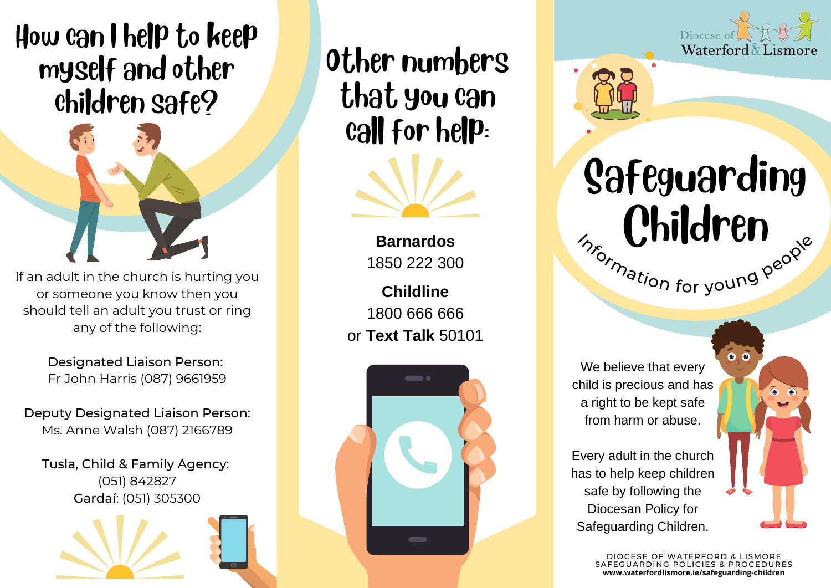## How can I help to keep myself and other children safe?



If an adult in the church is hurting you or someone you know then you should tell an adult you trust or ring any of the following:

> Designated Liaison Person: Fr John Harris (087) 9661959

Deputy Designated Liaison Person: Ms. Anne Walsh (087) 2166789

Tusla, Child & Family Agency: (051) 842827 Gardaí: (051) 305300

Other numbers that you can call for help:



**Barnardos** 1850 222 300

**Childline** 1800 666 666 or **Text Talk** 50101







**Safeguarding** Children m<sub>ormation for young people</sub>

 $\overline{0}$   $\overline{0}$ 

We believe that every child is precious and has a right to be kept safe from harm or abuse.

Every adult in the church has to help keep children safe by following the Diocesan Policy for Safeguarding Children.

> DIOCESE OF WATERFORD & LISMORE SAFEGUARDING POLICIES & PROCEDURES **www.waterfordlismore.ie/safeguarding-children**